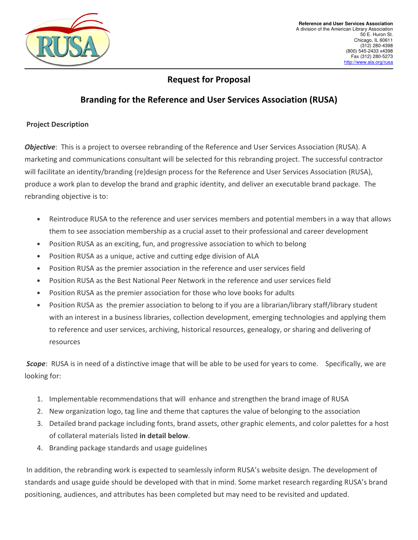

# **Request for Proposal**

# **Branding for the Reference and User Services Association (RUSA)**

## **Project Description**

*Objective*: This is a project to oversee rebranding of the Reference and User Services Association (RUSA). A marketing and communications consultant will be selected for this rebranding project. The successful contractor will facilitate an identity/branding (re)design process for the Reference and User Services Association (RUSA), produce a work plan to develop the brand and graphic identity, and deliver an executable brand package. The rebranding objective is to:

- Reintroduce RUSA to the reference and user services members and potential members in a way that allows them to see association membership as a crucial asset to their professional and career development
- Position RUSA as an exciting, fun, and progressive association to which to belong
- Position RUSA as a unique, active and cutting edge division of ALA
- Position RUSA as the premier association in the reference and user services field
- Position RUSA as the Best National Peer Network in the reference and user services field
- Position RUSA as the premier association for those who love books for adults
- Position RUSA as the premier association to belong to if you are a librarian/library staff/library student with an interest in a business libraries, collection development, emerging technologies and applying them to reference and user services, archiving, historical resources, genealogy, or sharing and delivering of resources

 *Scope*: RUSA is in need of a distinctive image that will be able to be used for years to come. Specifically, we are looking for:

- 1. Implementable recommendations that will enhance and strengthen the brand image of RUSA
- 2. New organization logo, tag line and theme that captures the value of belonging to the association
- 3. Detailed brand package including fonts, brand assets, other graphic elements, and color palettes for a host of collateral materials listed **in detail below**.
- 4. Branding package standards and usage guidelines

 In addition, the rebranding work is expected to seamlessly inform RUSA's website design. The development of standards and usage guide should be developed with that in mind. Some market research regarding RUSA's brand positioning, audiences, and attributes has been completed but may need to be revisited and updated.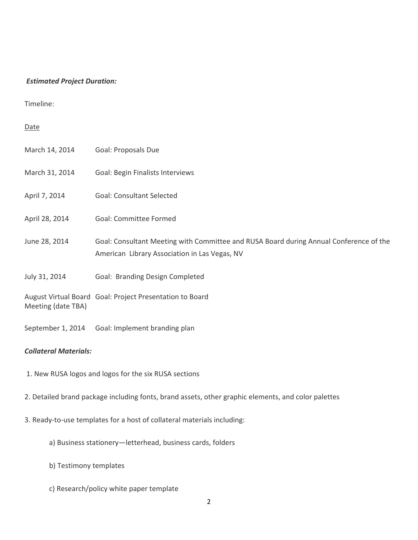### *Estimated Project Duration:*

Timeline:

### Date

| March 14, 2014     | Goal: Proposals Due                                                                                                                     |
|--------------------|-----------------------------------------------------------------------------------------------------------------------------------------|
| March 31, 2014     | Goal: Begin Finalists Interviews                                                                                                        |
| April 7, 2014      | <b>Goal: Consultant Selected</b>                                                                                                        |
| April 28, 2014     | Goal: Committee Formed                                                                                                                  |
| June 28, 2014      | Goal: Consultant Meeting with Committee and RUSA Board during Annual Conference of the<br>American Library Association in Las Vegas, NV |
| July 31, 2014      | Goal: Branding Design Completed                                                                                                         |
| Meeting (date TBA) | August Virtual Board Goal: Project Presentation to Board                                                                                |

*Collateral Materials:*

1. New RUSA logos and logos for the six RUSA sections

September 1, 2014 Goal: Implement branding plan

- 2. Detailed brand package including fonts, brand assets, other graphic elements, and color palettes
- 3. Ready-to-use templates for a host of collateral materials including:
	- a) Business stationery—letterhead, business cards, folders
	- b) Testimony templates
	- c) Research/policy white paper template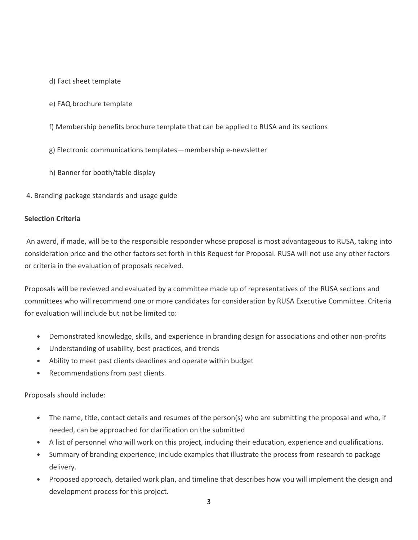- d) Fact sheet template
- e) FAQ brochure template
- f) Membership benefits brochure template that can be applied to RUSA and its sections
- g) Electronic communications templates—membership e-newsletter
- h) Banner for booth/table display
- 4. Branding package standards and usage guide

## **Selection Criteria**

An award, if made, will be to the responsible responder whose proposal is most advantageous to RUSA, taking into consideration price and the other factors set forth in this Request for Proposal. RUSA will not use any other factors or criteria in the evaluation of proposals received.

Proposals will be reviewed and evaluated by a committee made up of representatives of the RUSA sections and committees who will recommend one or more candidates for consideration by RUSA Executive Committee. Criteria for evaluation will include but not be limited to:

- Demonstrated knowledge, skills, and experience in branding design for associations and other non-profits
- Understanding of usability, best practices, and trends
- Ability to meet past clients deadlines and operate within budget
- Recommendations from past clients.

Proposals should include:

- The name, title, contact details and resumes of the person(s) who are submitting the proposal and who, if needed, can be approached for clarification on the submitted
- A list of personnel who will work on this project, including their education, experience and qualifications.
- Summary of branding experience; include examples that illustrate the process from research to package delivery.
- Proposed approach, detailed work plan, and timeline that describes how you will implement the design and development process for this project.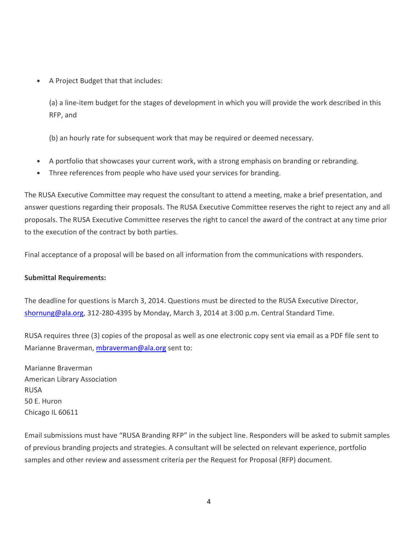• A Project Budget that that includes:

(a) a line-item budget for the stages of development in which you will provide the work described in this RFP, and

(b) an hourly rate for subsequent work that may be required or deemed necessary.

- A portfolio that showcases your current work, with a strong emphasis on branding or rebranding.
- Three references from people who have used your services for branding.

The RUSA Executive Committee may request the consultant to attend a meeting, make a brief presentation, and answer questions regarding their proposals. The RUSA Executive Committee reserves the right to reject any and all proposals. The RUSA Executive Committee reserves the right to cancel the award of the contract at any time prior to the execution of the contract by both parties.

Final acceptance of a proposal will be based on all information from the communications with responders.

# **Submittal Requirements:**

The deadline for questions is March 3, 2014. Questions must be directed to the RUSA Executive Director, shornung@ala.org, 312-280-4395 by Monday, March 3, 2014 at 3:00 p.m. Central Standard Time.

RUSA requires three (3) copies of the proposal as well as one electronic copy sent via email as a PDF file sent to Marianne Braverman, mbraverman@ala.org sent to:

Marianne Braverman American Library Association RUSA 50 E. Huron Chicago IL 60611

Email submissions must have "RUSA Branding RFP" in the subject line. Responders will be asked to submit samples of previous branding projects and strategies. A consultant will be selected on relevant experience, portfolio samples and other review and assessment criteria per the Request for Proposal (RFP) document.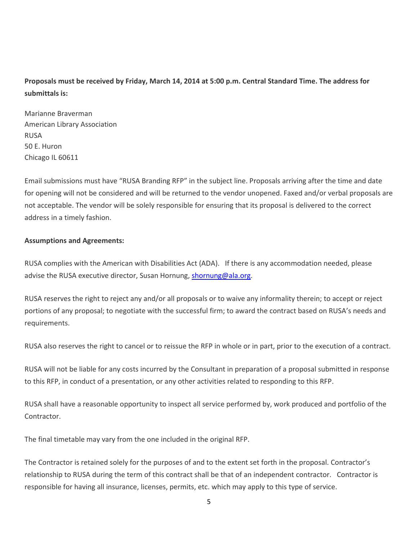# **Proposals must be received by Friday, March 14, 2014 at 5:00 p.m. Central Standard Time. The address for submittals is:**

Marianne Braverman American Library Association RUSA 50 E. Huron Chicago IL 60611

Email submissions must have "RUSA Branding RFP" in the subject line. Proposals arriving after the time and date for opening will not be considered and will be returned to the vendor unopened. Faxed and/or verbal proposals are not acceptable. The vendor will be solely responsible for ensuring that its proposal is delivered to the correct address in a timely fashion.

## **Assumptions and Agreements:**

RUSA complies with the American with Disabilities Act (ADA). If there is any accommodation needed, please advise the RUSA executive director, Susan Hornung, shornung@ala.org.

RUSA reserves the right to reject any and/or all proposals or to waive any informality therein; to accept or reject portions of any proposal; to negotiate with the successful firm; to award the contract based on RUSA's needs and requirements.

RUSA also reserves the right to cancel or to reissue the RFP in whole or in part, prior to the execution of a contract.

RUSA will not be liable for any costs incurred by the Consultant in preparation of a proposal submitted in response to this RFP, in conduct of a presentation, or any other activities related to responding to this RFP.

RUSA shall have a reasonable opportunity to inspect all service performed by, work produced and portfolio of the Contractor.

The final timetable may vary from the one included in the original RFP.

The Contractor is retained solely for the purposes of and to the extent set forth in the proposal. Contractor's relationship to RUSA during the term of this contract shall be that of an independent contractor. Contractor is responsible for having all insurance, licenses, permits, etc. which may apply to this type of service.